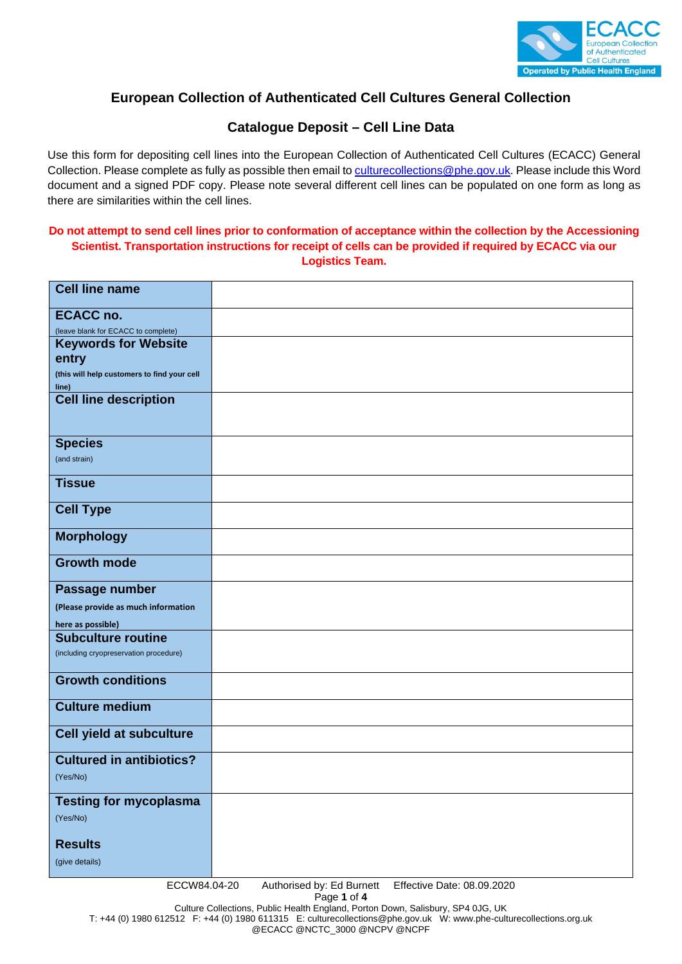

# **European Collection of Authenticated Cell Cultures General Collection**

## **Catalogue Deposit – Cell Line Data**

Use this form for depositing cell lines into the European Collection of Authenticated Cell Cultures (ECACC) General Collection. Please complete as fully as possible then email to culturecollections@phe.gov.uk. Please include this Word document and a signed PDF copy. Please note several different cell lines can be populated on one form as long as there are similarities within the cell lines.

#### **Do not attempt to send cell lines prior to conformation of acceptance within the collection by the Accessioning Scientist. Transportation instructions for receipt of cells can be provided if required by ECACC via our Logistics Team.**

| <b>Cell line name</b>                                    |                            |  |
|----------------------------------------------------------|----------------------------|--|
| <b>ECACC no.</b>                                         |                            |  |
| (leave blank for ECACC to complete)                      |                            |  |
| <b>Keywords for Website</b>                              |                            |  |
| entry                                                    |                            |  |
| (this will help customers to find your cell              |                            |  |
| line)                                                    |                            |  |
| <b>Cell line description</b>                             |                            |  |
|                                                          |                            |  |
|                                                          |                            |  |
| <b>Species</b>                                           |                            |  |
| (and strain)                                             |                            |  |
| <b>Tissue</b>                                            |                            |  |
|                                                          |                            |  |
| <b>Cell Type</b>                                         |                            |  |
| <b>Morphology</b>                                        |                            |  |
|                                                          |                            |  |
| <b>Growth mode</b>                                       |                            |  |
|                                                          |                            |  |
| Passage number                                           |                            |  |
| (Please provide as much information                      |                            |  |
| here as possible)                                        |                            |  |
| <b>Subculture routine</b>                                |                            |  |
| (including cryopreservation procedure)                   |                            |  |
| <b>Growth conditions</b>                                 |                            |  |
| <b>Culture medium</b>                                    |                            |  |
| Cell yield at subculture                                 |                            |  |
|                                                          |                            |  |
| <b>Cultured in antibiotics?</b>                          |                            |  |
| (Yes/No)                                                 |                            |  |
| <b>Testing for mycoplasma</b>                            |                            |  |
| (Yes/No)                                                 |                            |  |
|                                                          |                            |  |
| <b>Results</b>                                           |                            |  |
| (give details)                                           |                            |  |
|                                                          | Effective Date: 08.09.2020 |  |
| ECCW84.04-20<br>Authorised by: Ed Burnett<br>Page 1 of 4 |                            |  |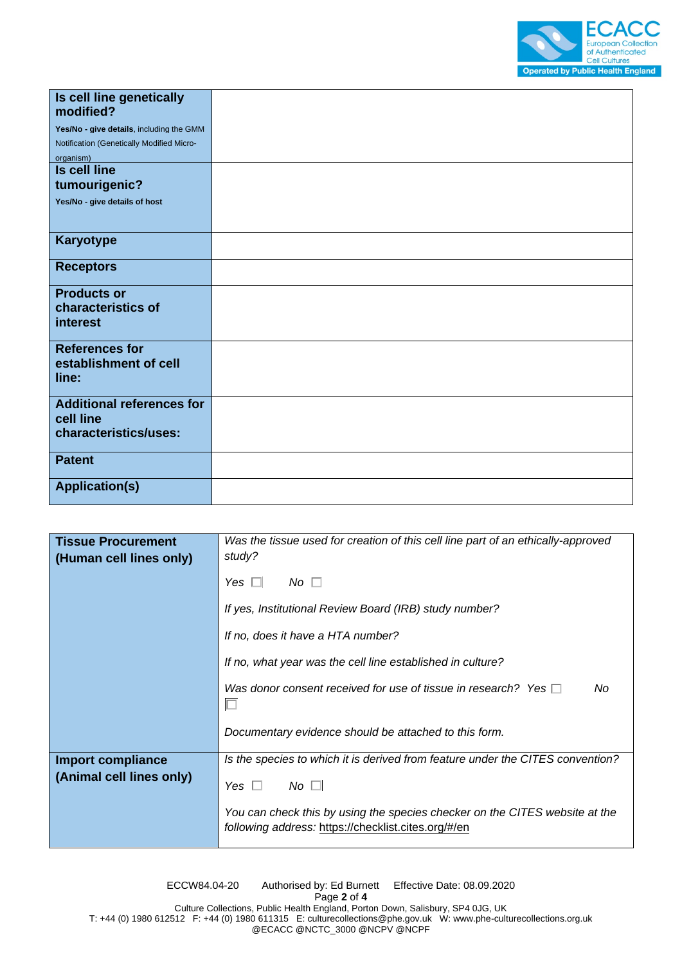

| Is cell line genetically<br>modified?     |  |
|-------------------------------------------|--|
| Yes/No - give details, including the GMM  |  |
| Notification (Genetically Modified Micro- |  |
| organism)                                 |  |
| <b>Is cell line</b>                       |  |
| tumourigenic?                             |  |
| Yes/No - give details of host             |  |
|                                           |  |
|                                           |  |
| <b>Karyotype</b>                          |  |
| <b>Receptors</b>                          |  |
| <b>Products or</b>                        |  |
| characteristics of                        |  |
| interest                                  |  |
|                                           |  |
| <b>References for</b>                     |  |
| establishment of cell                     |  |
| line:                                     |  |
| <b>Additional references for</b>          |  |
| cell line                                 |  |
| characteristics/uses:                     |  |
|                                           |  |
| <b>Patent</b>                             |  |
|                                           |  |
| <b>Application(s)</b>                     |  |

| <b>Tissue Procurement</b><br>(Human cell lines only) | Was the tissue used for creation of this cell line part of an ethically-approved<br>study?                                         |
|------------------------------------------------------|------------------------------------------------------------------------------------------------------------------------------------|
|                                                      | $No \ \Box$<br>Yes $\Box$                                                                                                          |
|                                                      | If yes, Institutional Review Board (IRB) study number?                                                                             |
|                                                      | If no, does it have a HTA number?                                                                                                  |
|                                                      | If no, what year was the cell line established in culture?                                                                         |
|                                                      | Was donor consent received for use of tissue in research? Yes $\Box$<br>No                                                         |
|                                                      | Documentary evidence should be attached to this form.                                                                              |
| <b>Import compliance</b><br>(Animal cell lines only) | Is the species to which it is derived from feature under the CITES convention?                                                     |
|                                                      | $No$ $\Box$<br>Yes.                                                                                                                |
|                                                      | You can check this by using the species checker on the CITES website at the<br>following address: https://checklist.cites.org/#/en |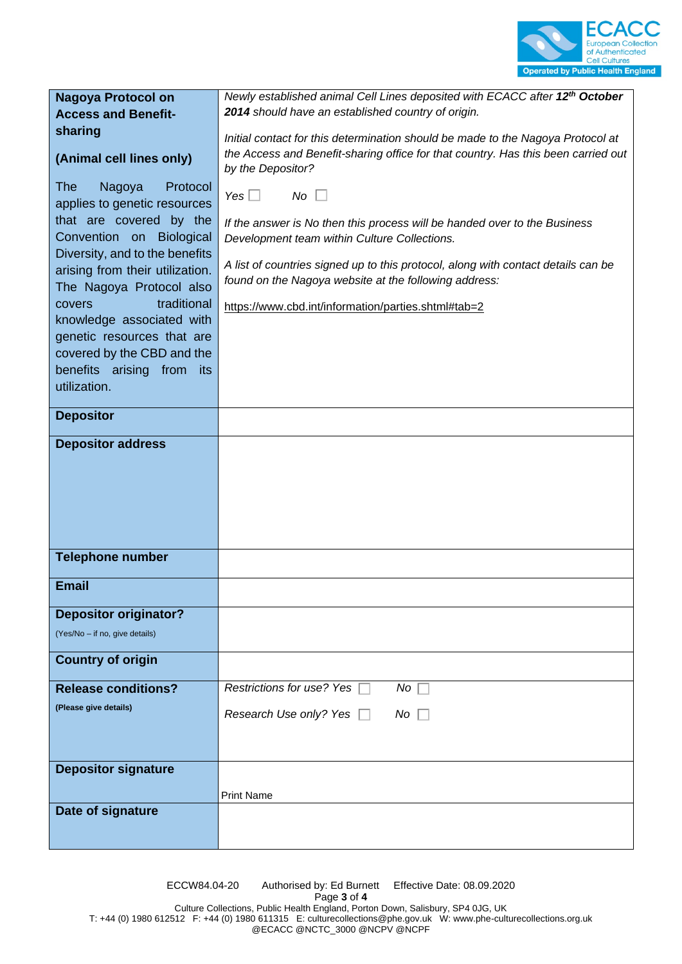

### **Nagoya Protocol on Access and Benefitsharing**

### **(Animal cell lines only)**

The Nagoya Protocol applies to genetic resources that are covered by the Convention on Biological Diversity, and to the benefits arising from their utilization. The Nagoya Protocol also covers traditional knowledge associated with genetic resources that are covered by the CBD and the benefits arising from its utilization.

*Newly established animal Cell Lines deposited with ECACC after 12<sup>th</sup> October 2014 should have an established country of origin.* 

*Initial contact for this determination should be made to the Nagoya Protocol at the Access and Benefit-sharing office for that country. Has this been carried out by the Depositor?*

 $Yes \Box$  No  $\Box$ 

*If the answer is No then this process will be handed over to the Business Development team within Culture Collections.*

*A list of countries signed up to this protocol, along with contact details can be found on the Nagoya website at the following address:* 

https://www.cbd.int/information/parties.shtml#tab=2

| covered by the CBD and the<br>benefits arising from its |                                                            |
|---------------------------------------------------------|------------------------------------------------------------|
| utilization.                                            |                                                            |
| <b>Depositor</b>                                        |                                                            |
| <b>Depositor address</b>                                |                                                            |
|                                                         |                                                            |
|                                                         |                                                            |
|                                                         |                                                            |
| <b>Telephone number</b>                                 |                                                            |
|                                                         |                                                            |
| <b>Email</b>                                            |                                                            |
| <b>Depositor originator?</b>                            |                                                            |
| (Yes/No - if no, give details)                          |                                                            |
| <b>Country of origin</b>                                |                                                            |
| <b>Release conditions?</b>                              | Restrictions for use? Yes<br>$No \ \overline{\phantom{b}}$ |
| (Please give details)                                   | Research Use only? Yes □<br>$No \Box$                      |
|                                                         |                                                            |
| <b>Depositor signature</b>                              |                                                            |
|                                                         |                                                            |
|                                                         | <b>Print Name</b>                                          |
| Date of signature                                       |                                                            |
|                                                         |                                                            |